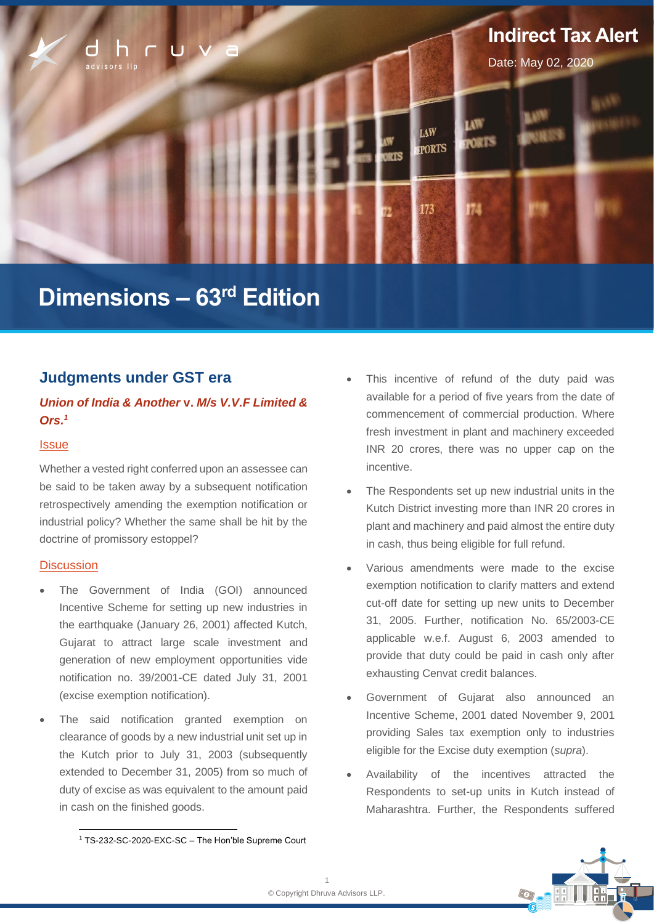

# **Dimensions – 63 rd Edition**

### **Judgments under GST era**

### *Union of India & Another* **v.** *M/s V.V.F Limited & Ors.<sup>1</sup>*

### **Issue**

Whether a vested right conferred upon an assessee can be said to be taken away by a subsequent notification retrospectively amending the exemption notification or industrial policy? Whether the same shall be hit by the doctrine of promissory estoppel?

### **Discussion**

- The Government of India (GOI) announced Incentive Scheme for setting up new industries in the earthquake (January 26, 2001) affected Kutch, Gujarat to attract large scale investment and generation of new employment opportunities vide notification no. 39/2001-CE dated July 31, 2001 (excise exemption notification).
- The said notification granted exemption on clearance of goods by a new industrial unit set up in the Kutch prior to July 31, 2003 (subsequently extended to December 31, 2005) from so much of duty of excise as was equivalent to the amount paid in cash on the finished goods.
- The Respondents set up new industrial units in the Kutch District investing more than INR 20 crores in plant and machinery and paid almost the entire duty in cash, thus being eligible for full refund.
- Various amendments were made to the excise exemption notification to clarify matters and extend cut-off date for setting up new units to December 31, 2005. Further, notification No. 65/2003-CE applicable w.e.f. August 6, 2003 amended to provide that duty could be paid in cash only after exhausting Cenvat credit balances.
- Government of Gujarat also announced an Incentive Scheme, 2001 dated November 9, 2001 providing Sales tax exemption only to industries eligible for the Excise duty exemption (*supra*).
- Availability of the incentives attracted the Respondents to set-up units in Kutch instead of Maharashtra. Further, the Respondents suffered



This incentive of refund of the duty paid was available for a period of five years from the date of commencement of commercial production. Where fresh investment in plant and machinery exceeded INR 20 crores, there was no upper cap on the incentive.

<sup>1</sup> TS-232-SC-2020-EXC-SC – The Hon'ble Supreme Court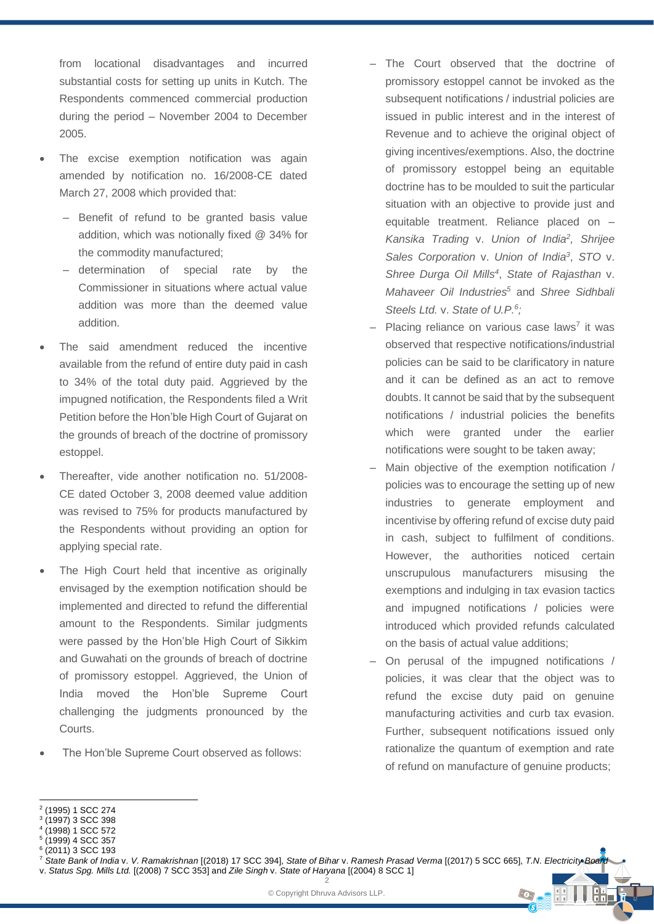from locational disadvantages and incurred substantial costs for setting up units in Kutch. The Respondents commenced commercial production during the period – November 2004 to December 2005.

- The excise exemption notification was again amended by notification no. 16/2008-CE dated March 27, 2008 which provided that:
	- Benefit of refund to be granted basis value addition, which was notionally fixed @ 34% for the commodity manufactured;
	- determination of special rate by the Commissioner in situations where actual value addition was more than the deemed value addition.
- The said amendment reduced the incentive available from the refund of entire duty paid in cash to 34% of the total duty paid. Aggrieved by the impugned notification, the Respondents filed a Writ Petition before the Hon'ble High Court of Gujarat on the grounds of breach of the doctrine of promissory estoppel.
- Thereafter, vide another notification no. 51/2008- CE dated October 3, 2008 deemed value addition was revised to 75% for products manufactured by the Respondents without providing an option for applying special rate.
- The High Court held that incentive as originally envisaged by the exemption notification should be implemented and directed to refund the differential amount to the Respondents. Similar judgments were passed by the Hon'ble High Court of Sikkim and Guwahati on the grounds of breach of doctrine of promissory estoppel. Aggrieved, the Union of India moved the Hon'ble Supreme Court challenging the judgments pronounced by the Courts.
- The Hon'ble Supreme Court observed as follows:
- ‒ The Court observed that the doctrine of promissory estoppel cannot be invoked as the subsequent notifications / industrial policies are issued in public interest and in the interest of Revenue and to achieve the original object of giving incentives/exemptions. Also, the doctrine of promissory estoppel being an equitable doctrine has to be moulded to suit the particular situation with an objective to provide just and equitable treatment. Reliance placed on – *Kansika Trading* v. *Union of India<sup>2</sup> , Shrijee Sales Corporation* v. *Union of India<sup>3</sup>* , *STO* v. *Shree Durga Oil Mills<sup>4</sup>* , *State of Rajasthan* v. *Mahaveer Oil Industries<sup>5</sup>* and *Shree Sidhbali Steels Ltd.* v. *State of U.P.<sup>6</sup> ;*
- Placing reliance on various case laws<sup>7</sup> it was observed that respective notifications/industrial policies can be said to be clarificatory in nature and it can be defined as an act to remove doubts. It cannot be said that by the subsequent notifications / industrial policies the benefits which were granted under the earlier notifications were sought to be taken away;
- Main objective of the exemption notification / policies was to encourage the setting up of new industries to generate employment and incentivise by offering refund of excise duty paid in cash, subject to fulfilment of conditions. However, the authorities noticed certain unscrupulous manufacturers misusing the exemptions and indulging in tax evasion tactics and impugned notifications / policies were introduced which provided refunds calculated on the basis of actual value additions;
- ‒ On perusal of the impugned notifications / policies, it was clear that the object was to refund the excise duty paid on genuine manufacturing activities and curb tax evasion. Further, subsequent notifications issued only rationalize the quantum of exemption and rate of refund on manufacture of genuine products;

 $\odot$ 

<sup>2</sup> (1995) 1 SCC 274

<sup>3</sup> (1997) 3 SCC 398

<sup>4</sup> (1998) 1 SCC 572

 $^5$  (1999) 4 SCC 357<br> $^6$  (2011) 3 SCC 193

<sup>(2011)</sup> 3 SCC 193

<sup>2</sup> <sup>7</sup> *State Bank of India* v. *V. Ramakrishnan* [(2018) 17 SCC 394], *State of Bihar* v. *Ramesh Prasad Verma* [(2017) 5 SCC 665], *T.N. Electricity Board* v. *Status Spg. Mills Ltd.* [(2008) 7 SCC 353] and *Zile Singh* v. *State of Haryana* [(2004) 8 SCC 1]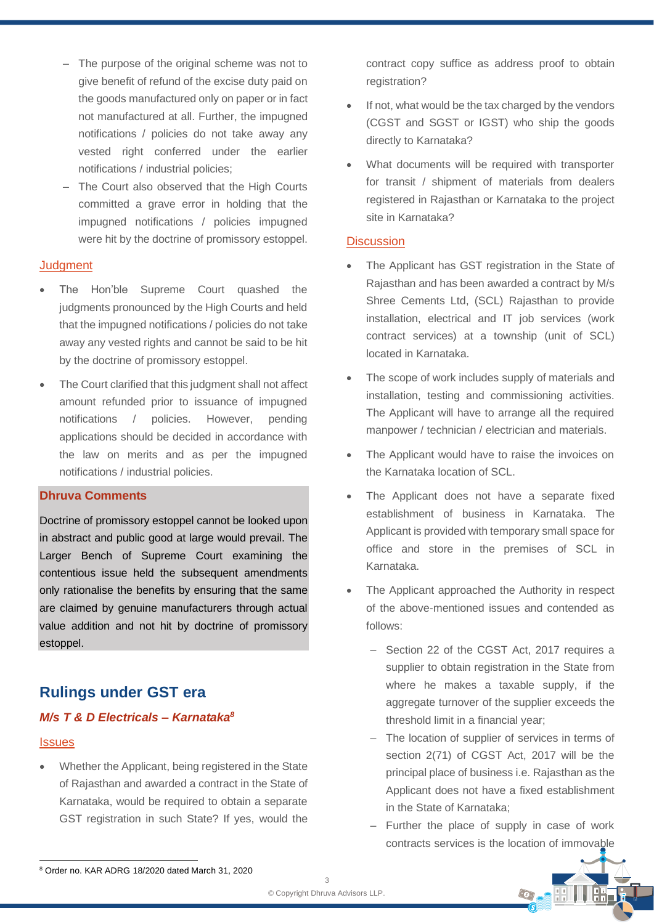- ‒ The purpose of the original scheme was not to give benefit of refund of the excise duty paid on the goods manufactured only on paper or in fact not manufactured at all. Further, the impugned notifications / policies do not take away any vested right conferred under the earlier notifications / industrial policies;
- The Court also observed that the High Courts committed a grave error in holding that the impugned notifications / policies impugned were hit by the doctrine of promissory estoppel.

### **Judgment**

- The Hon'ble Supreme Court quashed the judgments pronounced by the High Courts and held that the impugned notifications / policies do not take away any vested rights and cannot be said to be hit by the doctrine of promissory estoppel.
- The Court clarified that this judgment shall not affect amount refunded prior to issuance of impugned notifications / policies. However, pending applications should be decided in accordance with the law on merits and as per the impugned notifications / industrial policies.

#### **Dhruva Comments**

Doctrine of promissory estoppel cannot be looked upon in abstract and public good at large would prevail. The Larger Bench of Supreme Court examining the contentious issue held the subsequent amendments only rationalise the benefits by ensuring that the same are claimed by genuine manufacturers through actual value addition and not hit by doctrine of promissory estoppel.

## **Rulings under GST era**

### *M/s T & D Electricals – Karnataka<sup>8</sup>*

#### **Issues**

• Whether the Applicant, being registered in the State of Rajasthan and awarded a contract in the State of Karnataka, would be required to obtain a separate GST registration in such State? If yes, would the

contract copy suffice as address proof to obtain registration?

- If not, what would be the tax charged by the vendors (CGST and SGST or IGST) who ship the goods directly to Karnataka?
- What documents will be required with transporter for transit / shipment of materials from dealers registered in Rajasthan or Karnataka to the project site in Karnataka?

### **Discussion**

- The Applicant has GST registration in the State of Rajasthan and has been awarded a contract by M/s Shree Cements Ltd, (SCL) Rajasthan to provide installation, electrical and IT job services (work contract services) at a township (unit of SCL) located in Karnataka.
- The scope of work includes supply of materials and installation, testing and commissioning activities. The Applicant will have to arrange all the required manpower / technician / electrician and materials.
- The Applicant would have to raise the invoices on the Karnataka location of SCL.
- The Applicant does not have a separate fixed establishment of business in Karnataka. The Applicant is provided with temporary small space for office and store in the premises of SCL in Karnataka.
- The Applicant approached the Authority in respect of the above-mentioned issues and contended as follows:
	- Section 22 of the CGST Act, 2017 requires a supplier to obtain registration in the State from where he makes a taxable supply, if the aggregate turnover of the supplier exceeds the threshold limit in a financial year;
	- ‒ The location of supplier of services in terms of section 2(71) of CGST Act, 2017 will be the principal place of business i.e. Rajasthan as the Applicant does not have a fixed establishment in the State of Karnataka;
	- ‒ Further the place of supply in case of work contracts services is the location of immovable



<sup>8</sup> Order no. KAR ADRG 18/2020 dated March 31, 2020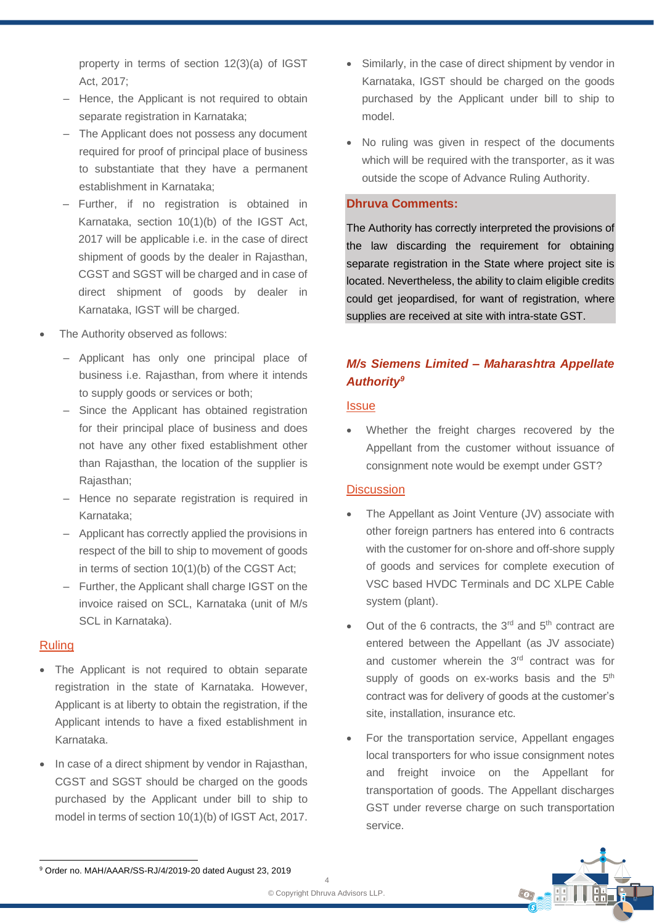property in terms of section 12(3)(a) of IGST Act, 2017;

- Hence, the Applicant is not required to obtain separate registration in Karnataka;
- The Applicant does not possess any document required for proof of principal place of business to substantiate that they have a permanent establishment in Karnataka;
- ‒ Further, if no registration is obtained in Karnataka, section 10(1)(b) of the IGST Act, 2017 will be applicable i.e. in the case of direct shipment of goods by the dealer in Rajasthan, CGST and SGST will be charged and in case of direct shipment of goods by dealer in Karnataka, IGST will be charged.
- The Authority observed as follows:
	- Applicant has only one principal place of business i.e. Rajasthan, from where it intends to supply goods or services or both;
	- ‒ Since the Applicant has obtained registration for their principal place of business and does not have any other fixed establishment other than Rajasthan, the location of the supplier is Rajasthan;
	- ‒ Hence no separate registration is required in Karnataka;
	- ‒ Applicant has correctly applied the provisions in respect of the bill to ship to movement of goods in terms of section 10(1)(b) of the CGST Act;
	- ‒ Further, the Applicant shall charge IGST on the invoice raised on SCL, Karnataka (unit of M/s SCL in Karnataka).

### Ruling

- The Applicant is not required to obtain separate registration in the state of Karnataka. However, Applicant is at liberty to obtain the registration, if the Applicant intends to have a fixed establishment in Karnataka.
- In case of a direct shipment by vendor in Rajasthan, CGST and SGST should be charged on the goods purchased by the Applicant under bill to ship to model in terms of section 10(1)(b) of IGST Act, 2017.
- Similarly, in the case of direct shipment by vendor in Karnataka, IGST should be charged on the goods purchased by the Applicant under bill to ship to model.
- No ruling was given in respect of the documents which will be required with the transporter, as it was outside the scope of Advance Ruling Authority.

### **Dhruva Comments:**

The Authority has correctly interpreted the provisions of the law discarding the requirement for obtaining separate registration in the State where project site is located. Nevertheless, the ability to claim eligible credits could get jeopardised, for want of registration, where supplies are received at site with intra-state GST.

### *M/s Siemens Limited – Maharashtra Appellate Authority<sup>9</sup>*

### **Issue**

Whether the freight charges recovered by the Appellant from the customer without issuance of consignment note would be exempt under GST?

### **Discussion**

- The Appellant as Joint Venture (JV) associate with other foreign partners has entered into 6 contracts with the customer for on-shore and off-shore supply of goods and services for complete execution of VSC based HVDC Terminals and DC XLPE Cable system (plant).
- Out of the 6 contracts, the  $3<sup>rd</sup>$  and  $5<sup>th</sup>$  contract are entered between the Appellant (as JV associate) and customer wherein the 3<sup>rd</sup> contract was for supply of goods on ex-works basis and the  $5<sup>th</sup>$ contract was for delivery of goods at the customer's site, installation, insurance etc.
- For the transportation service, Appellant engages local transporters for who issue consignment notes and freight invoice on the Appellant for transportation of goods. The Appellant discharges GST under reverse charge on such transportation service.



<sup>9</sup> Order no. MAH/AAAR/SS-RJ/4/2019-20 dated August 23, 2019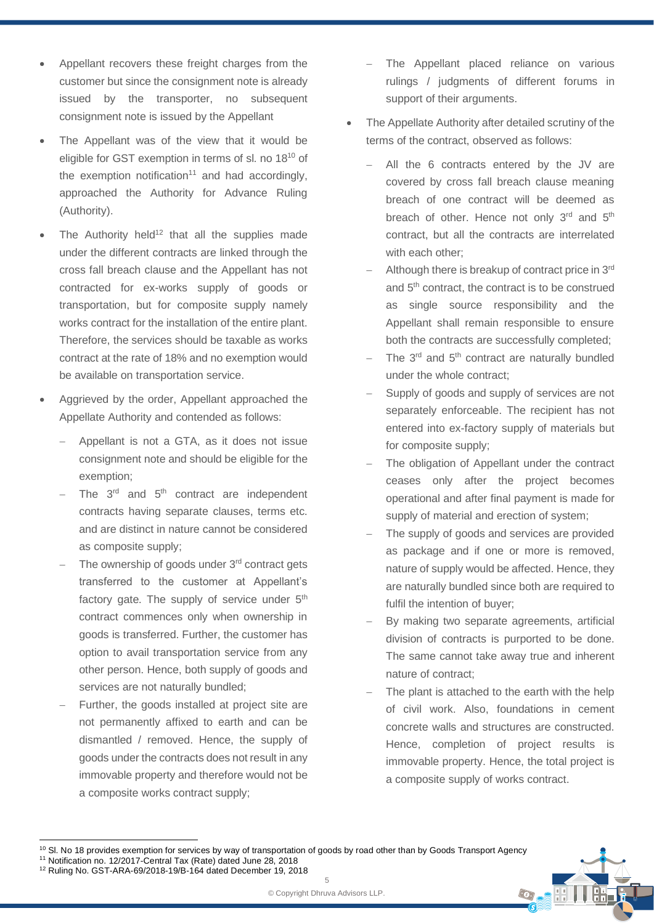- Appellant recovers these freight charges from the customer but since the consignment note is already issued by the transporter, no subsequent consignment note is issued by the Appellant
- The Appellant was of the view that it would be eligible for GST exemption in terms of sl. no 18<sup>10</sup> of the exemption notification<sup>11</sup> and had accordingly, approached the Authority for Advance Ruling (Authority).
- The Authority held $12$  that all the supplies made under the different contracts are linked through the cross fall breach clause and the Appellant has not contracted for ex-works supply of goods or transportation, but for composite supply namely works contract for the installation of the entire plant. Therefore, the services should be taxable as works contract at the rate of 18% and no exemption would be available on transportation service.
- Aggrieved by the order, Appellant approached the Appellate Authority and contended as follows:
	- − Appellant is not a GTA, as it does not issue consignment note and should be eligible for the exemption;
	- The 3<sup>rd</sup> and 5<sup>th</sup> contract are independent contracts having separate clauses, terms etc. and are distinct in nature cannot be considered as composite supply;
	- The ownership of goods under 3<sup>rd</sup> contract gets transferred to the customer at Appellant's factory gate. The supply of service under  $5<sup>th</sup>$ contract commences only when ownership in goods is transferred. Further, the customer has option to avail transportation service from any other person. Hence, both supply of goods and services are not naturally bundled;
	- Further, the goods installed at project site are not permanently affixed to earth and can be dismantled / removed. Hence, the supply of goods under the contracts does not result in any immovable property and therefore would not be a composite works contract supply;
- The Appellant placed reliance on various rulings / judgments of different forums in support of their arguments.
- The Appellate Authority after detailed scrutiny of the terms of the contract, observed as follows:
	- − All the 6 contracts entered by the JV are covered by cross fall breach clause meaning breach of one contract will be deemed as breach of other. Hence not only 3<sup>rd</sup> and 5<sup>th</sup> contract, but all the contracts are interrelated with each other;
	- Although there is breakup of contract price in 3<sup>rd</sup> and 5<sup>th</sup> contract, the contract is to be construed as single source responsibility and the Appellant shall remain responsible to ensure both the contracts are successfully completed;
	- The 3<sup>rd</sup> and 5<sup>th</sup> contract are naturally bundled under the whole contract;
	- Supply of goods and supply of services are not separately enforceable. The recipient has not entered into ex-factory supply of materials but for composite supply;
	- The obligation of Appellant under the contract ceases only after the project becomes operational and after final payment is made for supply of material and erection of system;
	- The supply of goods and services are provided as package and if one or more is removed, nature of supply would be affected. Hence, they are naturally bundled since both are required to fulfil the intention of buyer;
	- By making two separate agreements, artificial division of contracts is purported to be done. The same cannot take away true and inherent nature of contract;
	- The plant is attached to the earth with the help of civil work. Also, foundations in cement concrete walls and structures are constructed. Hence, completion of project results is immovable property. Hence, the total project is a composite supply of works contract.

 $\cdot$ 

5 © Copyright Dhruva Advisors LLP.

<sup>&</sup>lt;sup>10</sup> Sl. No 18 provides exemption for services by way of transportation of goods by road other than by Goods Transport Agency <sup>11</sup> Notification no. 12/2017-Central Tax (Rate) dated June 28, 2018

<sup>12</sup> Ruling No. GST-ARA-69/2018-19/B-164 dated December 19, 2018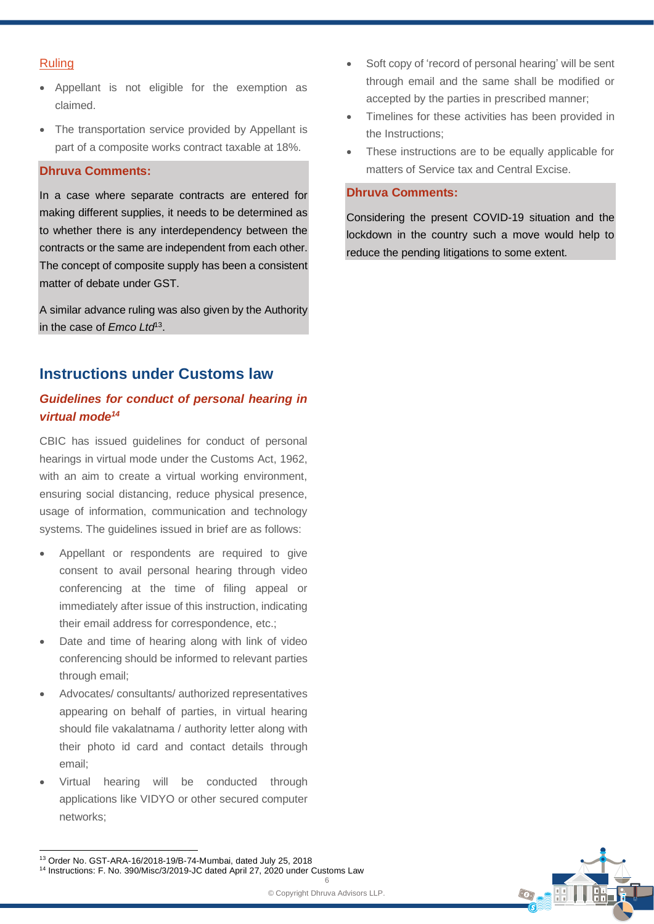### Ruling

- Appellant is not eligible for the exemption as claimed.
- The transportation service provided by Appellant is part of a composite works contract taxable at 18%.

### **Dhruva Comments:**

In a case where separate contracts are entered for making different supplies, it needs to be determined as to whether there is any interdependency between the contracts or the same are independent from each other. The concept of composite supply has been a consistent matter of debate under GST.

A similar advance ruling was also given by the Authority in the case of *Emco Ltd*<sup>13</sup> .

### **Instructions under Customs law**

### *Guidelines for conduct of personal hearing in virtual mode<sup>14</sup>*

CBIC has issued guidelines for conduct of personal hearings in virtual mode under the Customs Act, 1962, with an aim to create a virtual working environment, ensuring social distancing, reduce physical presence, usage of information, communication and technology systems. The guidelines issued in brief are as follows:

- Appellant or respondents are required to give consent to avail personal hearing through video conferencing at the time of filing appeal or immediately after issue of this instruction, indicating their email address for correspondence, etc.;
- Date and time of hearing along with link of video conferencing should be informed to relevant parties through email;
- Advocates/ consultants/ authorized representatives appearing on behalf of parties, in virtual hearing should file vakalatnama / authority letter along with their photo id card and contact details through email;
- Virtual hearing will be conducted through applications like VIDYO or other secured computer networks;
- Soft copy of 'record of personal hearing' will be sent through email and the same shall be modified or accepted by the parties in prescribed manner;
- Timelines for these activities has been provided in the Instructions;
- These instructions are to be equally applicable for matters of Service tax and Central Excise.

### **Dhruva Comments:**

Considering the present COVID-19 situation and the lockdown in the country such a move would help to reduce the pending litigations to some extent.



6 <sup>14</sup> Instructions: F. No. 390/Misc/3/2019-JC dated April 27, 2020 under Customs Law

<sup>13</sup> Order No. GST-ARA-16/2018-19/B-74-Mumbai, dated July 25, 2018